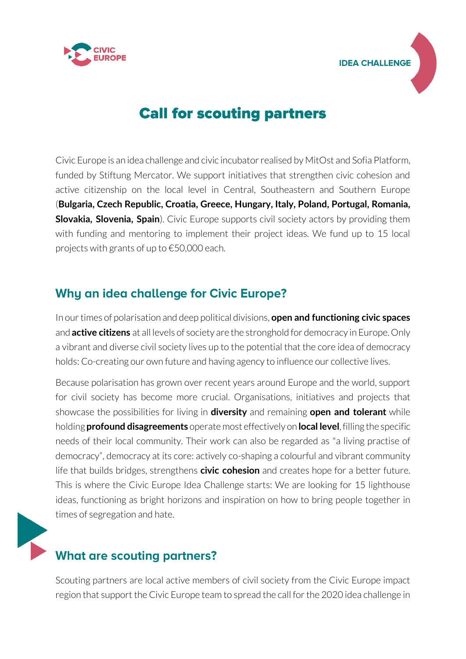



# **Call for scouting partners**

[Civic Europe](https://advocate-europe.eu/stories/advocate-europe-civic-europe/) is an idea challenge and civic incubator realised by MitOst and Sofia Platform, funded by Stiftung Mercator. We support initiatives that strengthen civic cohesion and active citizenship on the local level in Central, Southeastern and Southern Europe (**Bulgaria, Czech Republic, Croatia, Greece, Hungary, Italy, Poland, Portugal, Romania, Slovakia, Slovenia, Spain**). Civic Europe supports civil society actors by providing them with funding and mentoring to implement their project ideas. We fund up to 15 local projects with grants of up to €50,000 each.

### Why an idea challenge for Civic Europe?

In our times of polarisation and deep political divisions, **open and functioning civic spaces** and **active citizens** at all levels of society are the stronghold for democracy in Europe. Only a vibrant and diverse civil society lives up to the potential that the core idea of democracy holds: Co-creating our own future and having agency to influence our collective lives.

Because polarisation has grown over recent years around Europe and the world, support for civil society has become more crucial. Organisations, initiatives and projects that showcase the possibilities for living in **diversity** and remaining **open and tolerant** while holding **profound disagreements** operate most effectively on **local level**, filling the specific needs of their local community. Their work can also be regarded as "a living practise of democracy", democracy at its core: actively co-shaping a colourful and vibrant community life that builds bridges, strengthens **civic cohesion** and creates hope for a better future. This is where the Civic Europe Idea Challenge starts: We are looking for 15 lighthouse ideas, functioning as bright horizons and inspiration on how to bring people together in times of segregation and hate.



## What are scouting partners?

Scouting partners are local active members of civil society from the Civic Europe impact region that support the Civic Europe team to spread the call for the 2020 idea challenge in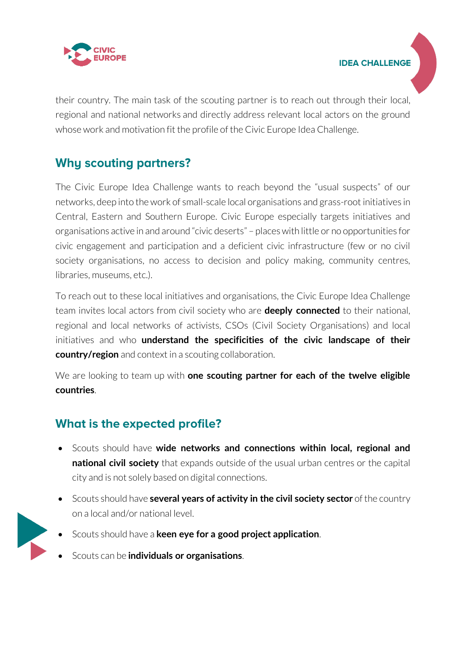

**IDEA CHALLENGE** 

their country. The main task of the scouting partner is to reach out through their local, regional and national networks and directly address relevant local actors on the ground whose work and motivation fit the profile of the Civic Europe Idea Challenge.

#### **Why scouting partners?**

The Civic Europe Idea Challenge wants to reach beyond the "usual suspects" of our networks, deep into the work of small-scale local organisations and grass-root initiatives in Central, Eastern and Southern Europe. Civic Europe especially targets initiatives and organisations active in and around "civic deserts" – places with little or no opportunities for civic engagement and participation and a deficient civic infrastructure (few or no civil society organisations, no access to decision and policy making, community centres, libraries, museums, etc.).

To reach out to these local initiatives and organisations, the Civic Europe Idea Challenge team invites local actors from civil society who are **deeply connected** to their national, regional and local networks of activists, CSOs (Civil Society Organisations) and local initiatives and who **understand the specificities of the civic landscape of their country/region** and context in a scouting collaboration.

We are looking to team up with **one scouting partner for each of the twelve eligible countries**.

### What is the expected profile?

- Scouts should have **wide networks and connections within local, regional and national civil society** that expands outside of the usual urban centres or the capital city and is not solely based on digital connections.
- Scouts should have **several years of activity in the civil society sector** of the country on a local and/or national level.
- Scouts should have a **keen eye for a good project application**.
- Scouts can be **individuals or organisations**.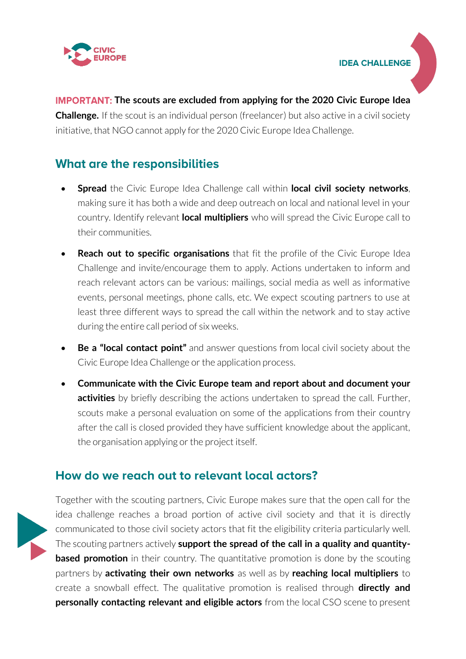

**IDEA CHALLENGE** 

**IMPORTANT: The scouts are excluded from applying for the 2020 Civic Europe Idea Challenge.** If the scout is an individual person (freelancer) but also active in a civil society initiative, that NGO cannot apply for the 2020 Civic Europe Idea Challenge.

#### **What are the responsibilities**

- **Spread** the Civic Europe Idea Challenge call within **local civil society networks**, making sure it has both a wide and deep outreach on local and national level in your country. Identify relevant **local multipliers** who will spread the Civic Europe call to their communities.
- **Reach out to specific organisations** that fit the profile of the Civic Europe Idea Challenge and invite/encourage them to apply. Actions undertaken to inform and reach relevant actors can be various: mailings, social media as well as informative events, personal meetings, phone calls, etc. We expect scouting partners to use at least three different ways to spread the call within the network and to stay active during the entire call period of six weeks.
- **Be a "local contact point"** and answer questions from local civil society about the Civic Europe Idea Challenge or the application process.
- **Communicate with the Civic Europe team and report about and document your activities** by briefly describing the actions undertaken to spread the call. Further, scouts make a personal evaluation on some of the applications from their country after the call is closed provided they have sufficient knowledge about the applicant, the organisation applying or the project itself.

#### How do we reach out to relevant local actors?



Together with the scouting partners, Civic Europe makes sure that the open call for the idea challenge reaches a broad portion of active civil society and that it is directly communicated to those civil society actors that fit the eligibility criteria particularly well. The scouting partners actively **support the spread of the call in a quality and quantitybased promotion** in their country. The quantitative promotion is done by the scouting partners by **activating their own networks** as well as by **reaching local multipliers** to create a snowball effect. The qualitative promotion is realised through **directly and personally contacting relevant and eligible actors** from the local CSO scene to present